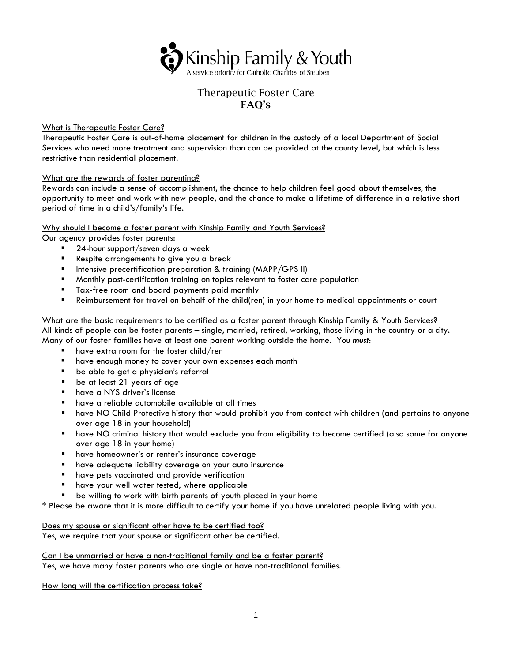

# Therapeutic Foster Care FAQ's

# What is Therapeutic Foster Care?

Therapeutic Foster Care is out-of-home placement for children in the custody of a local Department of Social Services who need more treatment and supervision than can be provided at the county level, but which is less restrictive than residential placement.

# What are the rewards of foster parenting?

Rewards can include a sense of accomplishment, the chance to help children feel good about themselves, the opportunity to meet and work with new people, and the chance to make a lifetime of difference in a relative short period of time in a child's/family's life.

# Why should I become a foster parent with Kinship Family and Youth Services?

Our agency provides foster parents:

- 24-hour support/seven days a week
- Respite arrangements to give you a break
- $\blacksquare$  Intensive precertification preparation & training (MAPP/GPS II)
- **Monthly post-certification training on topics relevant to foster care population**
- **Tax-free room and board payments paid monthly**
- Reimbursement for travel on behalf of the child(ren) in your home to medical appointments or court

What are the basic requirements to be certified as a foster parent through Kinship Family & Youth Services? All kinds of people can be foster parents – single, married, retired, working, those living in the country or a city. Many of our foster families have at least one parent working outside the home. You *must*:

- $\blacksquare$  have extra room for the foster child/ren
- **have enough money to cover your own expenses each month**
- **be able to get a physician's referral**
- **be at least 21 years of age**
- have a NYS driver's license
- have a reliable automobile available at all times
- have NO Child Protective history that would prohibit you from contact with children (and pertains to anyone over age 18 in your household)
- have NO criminal history that would exclude you from eligibility to become certified (also same for anyone over age 18 in your home)
- **name homeowner's or renter's insurance coverage**
- **have adequate liability coverage on your auto insurance**
- **n** have pets vaccinated and provide verification
- have your well water tested, where applicable
- be willing to work with birth parents of youth placed in your home

\* Please be aware that it is more difficult to certify your home if you have unrelated people living with you.

Does my spouse or significant other have to be certified too? Yes, we require that your spouse or significant other be certified.

Can I be unmarried or have a non-traditional family and be a foster parent? Yes, we have many foster parents who are single or have non-traditional families.

How long will the certification process take?